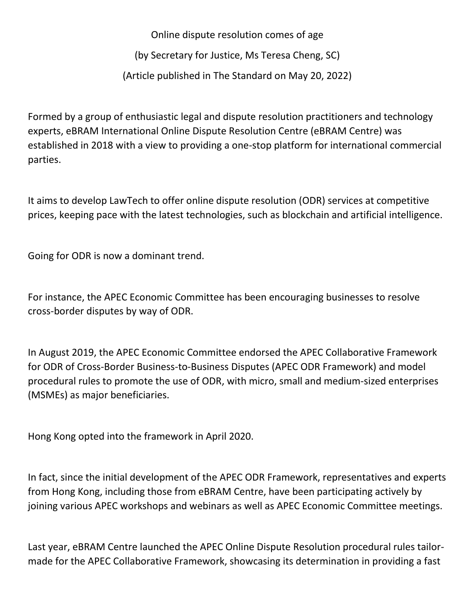Online dispute resolution comes of age

(by Secretary for Justice, Ms Teresa Cheng, SC)

(Article published in The Standard on May 20, 2022)

Formed by a group of enthusiastic legal and dispute resolution practitioners and technology experts, eBRAM International Online Dispute Resolution Centre (eBRAM Centre) was established in 2018 with a view to providing a one-stop platform for international commercial parties.

It aims to develop LawTech to offer online dispute resolution (ODR) services at competitive prices, keeping pace with the latest technologies, such as blockchain and artificial intelligence.

Going for ODR is now a dominant trend.

For instance, the APEC Economic Committee has been encouraging businesses to resolve cross-border disputes by way of ODR.

In August 2019, the APEC Economic Committee endorsed the APEC Collaborative Framework for ODR of Cross-Border Business-to-Business Disputes (APEC ODR Framework) and model procedural rules to promote the use of ODR, with micro, small and medium-sized enterprises (MSMEs) as major beneficiaries.

Hong Kong opted into the framework in April 2020.

In fact, since the initial development of the APEC ODR Framework, representatives and experts from Hong Kong, including those from eBRAM Centre, have been participating actively by joining various APEC workshops and webinars as well as APEC Economic Committee meetings.

Last year, eBRAM Centre launched the APEC Online Dispute Resolution procedural rules tailormade for the APEC Collaborative Framework, showcasing its determination in providing a fast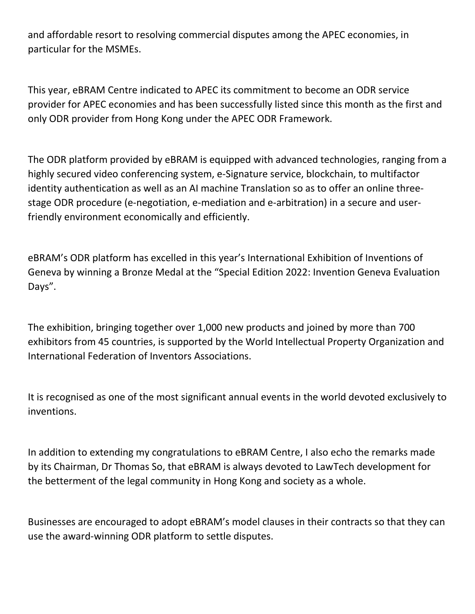and affordable resort to resolving commercial disputes among the APEC economies, in particular for the MSMEs.

This year, eBRAM Centre indicated to APEC its commitment to become an ODR service provider for APEC economies and has been successfully listed since this month as the first and only ODR provider from Hong Kong under the APEC ODR Framework.

The ODR platform provided by eBRAM is equipped with advanced technologies, ranging from a highly secured video conferencing system, e-Signature service, blockchain, to multifactor identity authentication as well as an AI machine Translation so as to offer an online threestage ODR procedure (e-negotiation, e-mediation and e-arbitration) in a secure and userfriendly environment economically and efficiently.

eBRAM's ODR platform has excelled in this year's International Exhibition of Inventions of Geneva by winning a Bronze Medal at the "Special Edition 2022: Invention Geneva Evaluation Days".

The exhibition, bringing together over 1,000 new products and joined by more than 700 exhibitors from 45 countries, is supported by the World Intellectual Property Organization and International Federation of Inventors Associations.

It is recognised as one of the most significant annual events in the world devoted exclusively to inventions.

In addition to extending my congratulations to eBRAM Centre, I also echo the remarks made by its Chairman, Dr Thomas So, that eBRAM is always devoted to LawTech development for the betterment of the legal community in Hong Kong and society as a whole.

Businesses are encouraged to adopt eBRAM's model clauses in their contracts so that they can use the award-winning ODR platform to settle disputes.